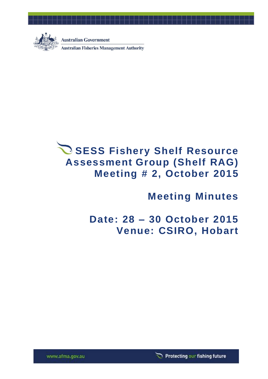

**Australian Government** 

**Australian Fisheries Management Authority** 

# **SESS Fishery Shelf Resource Assessment Group (Shelf RAG) Meeting # 2, October 2015**

**Meeting Minutes**

**Date: 28 – 30 October 2015 Venue: CSIRO, Hobart**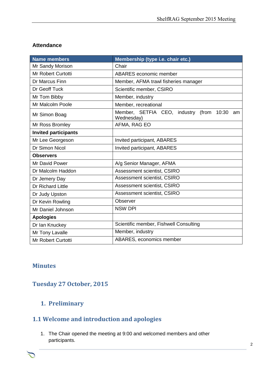#### **Attendance**

| <b>Name members</b>         | Membership (type i.e. chair etc.)                            |  |  |
|-----------------------------|--------------------------------------------------------------|--|--|
| Mr Sandy Morison            | Chair                                                        |  |  |
| <b>Mr Robert Curtotti</b>   | ABARES economic member                                       |  |  |
| Dr Marcus Finn              | Member, AFMA trawl fisheries manager                         |  |  |
| Dr Geoff Tuck               | Scientific member, CSIRO                                     |  |  |
| Mr Tom Bibby                | Member, industry                                             |  |  |
| Mr Malcolm Poole            | Member, recreational                                         |  |  |
| Mr Simon Boag               | Member, SETFIA CEO, industry (from 10:30<br>am<br>Wednesday) |  |  |
| Mr Ross Bromley             | AFMA, RAG EO                                                 |  |  |
| <b>Invited participants</b> |                                                              |  |  |
| Mr Lee Georgeson            | Invited participant, ABARES                                  |  |  |
| Dr Simon Nicol              | Invited participant, ABARES                                  |  |  |
| <b>Observers</b>            |                                                              |  |  |
| Mr David Power              | A/g Senior Manager, AFMA                                     |  |  |
| Dr Malcolm Haddon           | Assessment scientist, CSIRO                                  |  |  |
| Dr Jemery Day               | Assessment scientist, CSIRO                                  |  |  |
| Dr Richard Little           | Assessment scientist, CSIRO                                  |  |  |
| Dr Judy Upston              | Assessment scientist, CSIRO                                  |  |  |
| Dr Kevin Rowling            | Observer                                                     |  |  |
| Mr Daniel Johnson           | <b>NSW DPI</b>                                               |  |  |
| <b>Apologies</b>            |                                                              |  |  |
| Dr Ian Knuckey              | Scientific member, Fishwell Consulting                       |  |  |
| Mr Tony Lavalle             | Member, industry                                             |  |  |
| <b>Mr Robert Curtotti</b>   | ABARES, economics member                                     |  |  |

### **Minutes**

# **Tuesday 27 October, 2015**

### **1. Preliminary**

# **1.1 Welcome and introduction and apologies**

1. The Chair opened the meeting at 9:00 and welcomed members and other participants.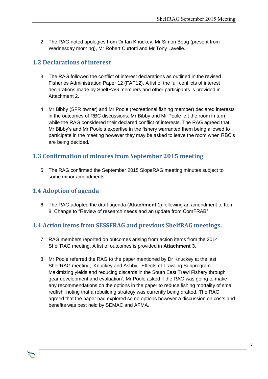2. The RAG noted apologies from Dr Ian Knuckey, Mr Simon Boag (present from Wednesday morning), Mr Robert Curtotti and Mr Tony Lavelle.

### **1.2 Declarations of interest**

- 3. The RAG followed the conflict of interest declarations as outlined in the revised Fisheries Administration Paper 12 (FAP12). A list of the full conflicts of interest declarations made by ShelfRAG members and other participants is provided in Attachment 2.
- 4. Mr Bibby (SFR owner) and Mr Poole (recreational fishing member) declared interests in the outcomes of RBC discussions. Mr Bibby and Mr Poole left the room in turn while the RAG considered their declared conflict of interests. The RAG agreed that Mr Bibby's and Mr Poole's expertise in the fishery warranted them being allowed to participate in the meeting however they may be asked to leave the room when RBC's are being decided.

### **1.3 Confirmation of minutes from September 2015 meeting**

5. The RAG confirmed the September 2015 SlopeRAG meeting minutes subject to some minor amendments.

### **1.4 Adoption of agenda**

6. The RAG adopted the draft agenda (**Attachment 1**) following an amendment to Item 8. Change to "Review of research needs and an update from ComFRAB"

### **1.4 Action items from SESSFRAG and previous ShelfRAG meetings.**

- 7. RAG members reported on outcomes arising from action items from the 2014 ShelfRAG meeting. A list of outcomes is provided in **Attachment 3**.
- 8. Mr Poole referred the RAG to the paper mentioned by Dr Knuckey at the last ShelfRAG meeting; 'Knuckey and Ashby, Effects of Trawling Subprogram: Maximizing yields and reducing discards in the South East Trawl Fishery through gear development and evaluation'. Mr Poole asked if the RAG was going to make any recommendations on the options in the paper to reduce fishing mortality of small redfish, noting that a rebuilding strategy was currently being drafted. The RAG agreed that the paper had explored some options however a discussion on costs and benefits was best held by SEMAC and AFMA.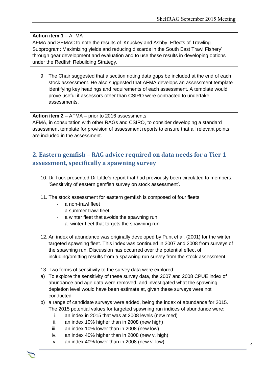#### **Action item 1** – AFMA

AFMA and SEMAC to note the results of 'Knuckey and Ashby, Effects of Trawling Subprogram: Maximizing yields and reducing discards in the South East Trawl Fishery' through gear development and evaluation and to use these results in developing options under the Redfish Rebuilding Strategy.

9. The Chair suggested that a section noting data gaps be included at the end of each stock assessment. He also suggested that AFMA develops an assessment template identifying key headings and requirements of each assessment. A template would prove useful if assessors other than CSIRO were contracted to undertake assessments.

**Action item 2** – AFMA – prior to 2016 assessments AFMA, in consultation with other RAGs and CSIRO, to consider developing a standard assessment template for provision of assessment reports to ensure that all relevant points are included in the assessment.

# **2. Eastern gemfish – RAG advice required on data needs for a Tier 1 assessment, specifically a spawning survey**

- 10. Dr Tuck presented Dr Little's report that had previously been circulated to members: 'Sensitivity of eastern gemfish survey on stock assessment'.
- 11. The stock assessment for eastern gemfish is composed of four fleets:
	- a non-trawl fleet
	- a summer trawl fleet
	- a winter fleet that avoids the spawning run
	- a winter fleet that targets the spawning run
- 12. An index of abundance was originally developed by Punt et al. (2001) for the winter targeted spawning fleet. This index was continued in 2007 and 2008 from surveys of the spawning run. Discussion has occurred over the potential effect of including/omitting results from a spawning run survey from the stock assessment.
- 13. Two forms of sensitivity to the survey data were explored:
- a) To explore the sensitivity of these survey data, the 2007 and 2008 CPUE index of abundance and age data were removed, and investigated what the spawning depletion level would have been estimate at, given these surveys were not conducted
- b) a range of candidate surveys were added, being the index of abundance for 2015. The 2015 potential values for targeted spawning run indices of abundance were:

- i. an index in 2015 that was at 2008 levels (new med)
- ii. an index 10% higher than in 2008 (new high)
- iii. an index 10% lower than in 2008 (new low)
- iv. an index 40% higher than in 2008 (new v. high)
- v. an index 40% lower than in 2008 (new v. low)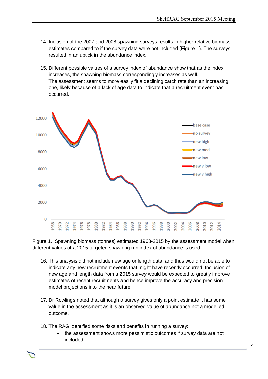- 14. Inclusion of the 2007 and 2008 spawning surveys results in higher relative biomass estimates compared to if the survey data were not included (Figure 1). The surveys resulted in an uptick in the abundance index.
- 15. Different possible values of a survey index of abundance show that as the index increases, the spawning biomass correspondingly increases as well. The assessment seems to more easily fit a declining catch rate than an increasing one, likely because of a lack of age data to indicate that a recruitment event has occurred.



Figure 1. Spawning biomass (tonnes) estimated 1968-2015 by the assessment model when different values of a 2015 targeted spawning run index of abundance is used.

- 16. This analysis did not include new age or length data, and thus would not be able to indicate any new recruitment events that might have recently occurred. Inclusion of new age and length data from a 2015 survey would be expected to greatly improve estimates of recent recruitments and hence improve the accuracy and precision model projections into the near future.
- 17. Dr Rowlings noted that although a survey gives only a point estimate it has some value in the assessment as it is an observed value of abundance not a modelled outcome.

- 18. The RAG identified some risks and benefits in running a survey:
	- the assessment shows more pessimistic outcomes if survey data are not included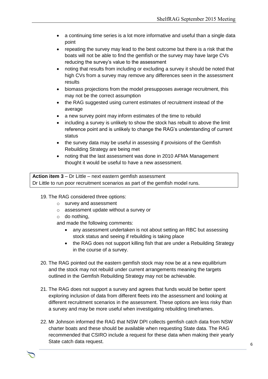- a continuing time series is a lot more informative and useful than a single data point
- repeating the survey may lead to the best outcome but there is a risk that the boats will not be able to find the gemfish or the survey may have large CVs reducing the survey's value to the assessment
- noting that results from including or excluding a survey it should be noted that high CVs from a survey may remove any differences seen in the assessment results
- biomass projections from the model presupposes average recruitment, this may not be the correct assumption
- the RAG suggested using current estimates of recruitment instead of the average
- a new survey point may inform estimates of the time to rebuild
- including a survey is unlikely to show the stock has rebuilt to above the limit reference point and is unlikely to change the RAG's understanding of current status
- the survey data may be useful in assessing if provisions of the Gemfish Rebuilding Strategy are being met
- noting that the last assessment was done in 2010 AFMA Management thought it would be useful to have a new assessment.

**Action item 3** – Dr Little – next eastern gemfish assessment Dr Little to run poor recruitment scenarios as part of the gemfish model runs.

#### 19. The RAG considered three options:

- o survey and assessment
- o assessment update without a survey or
- $\circ$  do nothing,
- and made the following comments:
	- any assessment undertaken is not about setting an RBC but assessing stock status and seeing if rebuilding is taking place
	- the RAG does not support killing fish that are under a Rebuilding Strategy in the course of a survey.
- 20. The RAG pointed out the eastern gemfish stock may now be at a new equilibrium and the stock may not rebuild under current arrangements meaning the targets outlined in the Gemfish Rebuilding Strategy may not be achievable.
- 21. The RAG does not support a survey and agrees that funds would be better spent exploring inclusion of data from different fleets into the assessment and looking at different recruitment scenarios in the assessment. These options are less risky than a survey and may be more useful when investigating rebuilding timeframes.
- 22. Mr Johnson informed the RAG that NSW DPI collects gemfish catch data from NSW charter boats and these should be available when requesting State data. The RAG recommended that CSIRO include a request for these data when making their yearly State catch data request.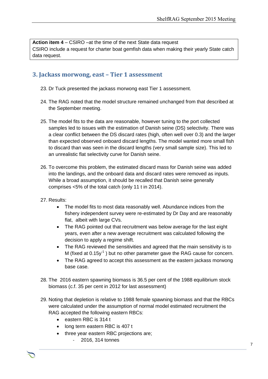**Action item 4** – CSIRO –at the time of the next State data request CSIRO include a request for charter boat gemfish data when making their yearly State catch data request.

#### **3. Jackass morwong, east – Tier 1 assessment**

- 23. Dr Tuck presented the jackass morwong east Tier 1 assessment.
- 24. The RAG noted that the model structure remained unchanged from that described at the September meeting.
- 25. The model fits to the data are reasonable, however tuning to the port collected samples led to issues with the estimation of Danish seine (DS) selectivity. There was a clear conflict between the DS discard rates (high, often well over 0.3) and the larger than expected observed onboard discard lengths. The model wanted more small fish to discard than was seen in the discard lengths (very small sample size). This led to an unrealistic flat selectivity curve for Danish seine.
- 26. To overcome this problem, the estimated discard mass for Danish seine was added into the landings, and the onboard data and discard rates were removed as inputs. While a broad assumption, it should be recalled that Danish seine generally comprises <5% of the total catch (only 11 t in 2014).
- 27. Results:
	- The model fits to most data reasonably well. Abundance indices from the fishery independent survey were re-estimated by Dr Day and are reasonably flat, albeit with large CVs.
	- The RAG pointed out that recruitment was below average for the last eight years, even after a new average recruitment was calculated following the decision to apply a regime shift.
	- The RAG reviewed the sensitivities and agreed that the main sensitivity is to M (fixed at  $0.15y^{-1}$  ) but no other parameter gave the RAG cause for concern.
	- The RAG agreed to accept this assessment as the eastern jackass morwong base case.
- 28. The 2016 eastern spawning biomass is 36.5 per cent of the 1988 equilibrium stock biomass (c.f. 35 per cent in 2012 for last assessment)
- 29. Noting that depletion is relative to 1988 female spawning biomass and that the RBCs were calculated under the assumption of normal model estimated recruitment the RAG accepted the following eastern RBCs:

- eastern RBC is 314 t
- long term eastern RBC is 407 t
- three year eastern RBC projections are;
	- 2016, 314 tonnes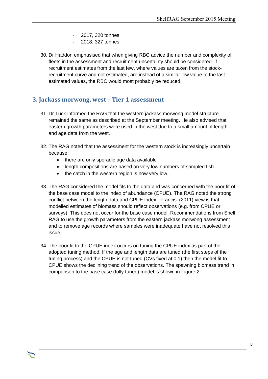- 2017, 320 tonnes
- 2018, 327 tonnes.
- 30. Dr Haddon emphasised that when giving RBC advice the number and complexity of fleets in the assessment and recruitment uncertainty should be considered. If recruitment estimates from the last few, where values are taken from the stockrecruitment curve and not estimated, are instead of a similar low value to the last estimated values, the RBC would most probably be reduced.

### **3. Jackass morwong, west – Tier 1 assessment**

- 31. Dr Tuck informed the RAG that the western jackass morwong model structure remained the same as described at the September meeting. He also advised that eastern growth parameters were used in the west due to a small amount of length and age data from the west.
- 32. The RAG noted that the assessment for the western stock is increasingly uncertain because;
	- there are only sporadic age data available
	- length compositions are based on very low numbers of sampled fish
	- the catch in the western region is now very low.
- 33. The RAG considered the model fits to the data and was concerned with the poor fit of the base case model to the index of abundance (CPUE). The RAG noted the strong conflict between the length data and CPUE index. Francis' (2011) view is that modelled estimates of biomass should reflect observations (e.g. from CPUE or surveys). This does not occur for the base case model. Recommendations from Shelf RAG to use the growth parameters from the eastern jackass morwong assessment and to remove age records where samples were inadequate have not resolved this issue.
- 34. The poor fit to the CPUE index occurs on tuning the CPUE index as part of the adopted tuning method. If the age and length data are tuned (the first steps of the tuning process) and the CPUE is not tuned (CVs fixed at 0.1) then the model fit to CPUE shows the declining trend of the observations. The spawning biomass trend in comparison to the base case (fully tuned) model is shown in Figure 2.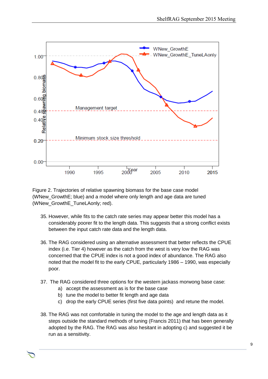

Figure 2. Trajectories of relative spawning biomass for the base case model (WNew\_GrowthE; blue) and a model where only length and age data are tuned (WNew\_GrowthE\_TuneLAonly; red).

- 35. However, while fits to the catch rate series may appear better this model has a considerably poorer fit to the length data. This suggests that a strong conflict exists between the input catch rate data and the length data.
- 36. The RAG considered using an alternative assessment that better reflects the CPUE index (i.e. Tier 4) however as the catch from the west is very low the RAG was concerned that the CPUE index is not a good index of abundance. The RAG also noted that the model fit to the early CPUE, particularly 1986 – 1990, was especially poor.
- 37. The RAG considered three options for the western jackass morwong base case:
	- a) accept the assessment as is for the base case
	- b) tune the model to better fit length and age data
	- c) drop the early CPUE series (first five data points) and retune the model.
- 38. The RAG was not comfortable in tuning the model to the age and length data as it steps outside the standard methods of tuning (Francis 2011) that has been generally adopted by the RAG. The RAG was also hesitant in adopting c) and suggested it be run as a sensitivity.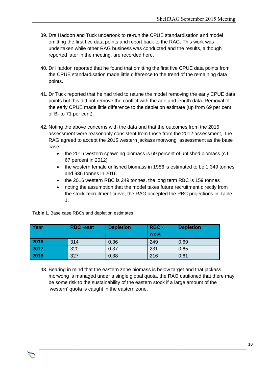- 39. Drs Haddon and Tuck undertook to re-run the CPUE standardisation and model omitting the first five data points and report back to the RAG. This work was undertaken while other RAG business was conducted and the results, although reported later in the meeting, are recorded here.
- 40. Dr Haddon reported that he found that omitting the first five CPUE data points from the CPUE standardisation made little difference to the trend of the remaining data points.
- 41. Dr Tuck reported that he had tried to retune the model removing the early CPUE data points but this did not remove the conflict with the age and length data. Removal of the early CPUE made little difference to the depletion estimate (up from 69 per cent of  $B_0$  to 71 per cent).
- 42. Noting the above concerns with the data and that the outcomes from the 2015 assessment were reasonably consistent from those from the 2012 assessment, the RAG agreed to accept the 2015 western jackass morwong assessment as the base case:
	- the 2016 western spawning biomass is 69 percent of unfished biomass (c.f. 67 percent in 2012)
	- the western female unfished biomass in 1986 is estimated to be 1 349 tonnes and 936 tonnes in 2016
	- the 2016 western RBC is 249 tonnes, the long term RBC is 159 tonnes
	- noting the assumption that the model takes future recruitment directly from the stock-recruitment curve, the RAG accepted the RBC projections in Table 1.

| Year | <b>RBC</b> -east | <b>Depletion</b> | <b>RBC-</b><br>west | <b>Depletion</b> |
|------|------------------|------------------|---------------------|------------------|
| 2016 | 314              | 0.36             | 249                 | 0.69             |
| 2017 | 320              | 0.37             | 231                 | 0.65             |
| 2018 | 327              | 0.38             | 216                 | 0.61             |

**Table 1.** Base case RBCs and depletion estimates

43. Bearing in mind that the eastern zone biomass is below target and that jackass morwong is managed under a single global quota, the RAG cautioned that there may be some risk to the sustainability of the eastern stock if a large amount of the 'western' quota is caught in the eastern zone.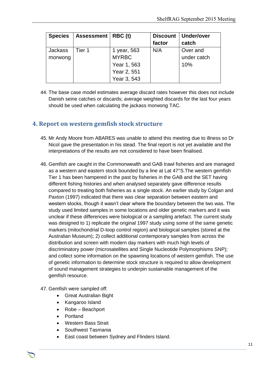| <b>Species</b> | <b>Assessment</b> | RBC (t)      | <b>Discount</b> | Under/over  |
|----------------|-------------------|--------------|-----------------|-------------|
|                |                   |              | factor          | catch       |
| <b>Jackass</b> | Tier 1            | 1 year, 563  | N/A             | Over and    |
| morwong        |                   | <b>MYRBC</b> |                 | under catch |
|                |                   | Year 1, 563  |                 | 10%         |
|                |                   | Year 2, 551  |                 |             |
|                |                   | Year 3, 543  |                 |             |

44. The base case model estimates average discard rates however this does not include Danish seine catches or discards; average weighted discards for the last four years should be used when calculating the jackass morwong TAC.

### **4. Report on western gemfish stock structure**

- 45. Mr Andy Moore from ABARES was unable to attend this meeting due to illness so Dr Nicol gave the presentation in his stead. The final report is not yet available and the interpretations of the results are not considered to have been finalised.
- 46. Gemfish are caught in the Commonwealth and GAB trawl fisheries and are managed as a western and eastern stock bounded by a line at Lat 47°S.The western gemfish Tier 1 has been hampered in the past by fisheries in the GAB and the SET having different fishing histories and when analysed separately gave difference results compared to treating both fisheries as a single stock. An earlier study by Colgan and Paxton (1997) indicated that there was clear separation between eastern and western stocks, though it wasn't clear where the boundary between the two was. The study used limited samples in some locations and older genetic markers and it was unclear if these differences were biological or a sampling artefact. The current study was designed to 1) replicate the original 1997 study using some of the same genetic markers (mitochondrial D-loop control region) and biological samples (stored at the Australian Museum); 2) collect additional contemporary samples from across the distribution and screen with modern day markers with much high levels of discriminatory power (microsatellites and Single Nucleotide Polymorphisms SNP); and collect some information on the spawning locations of western gemfish. The use of genetic information to determine stock structure is required to allow development of sound management strategies to underpin sustainable management of the gemfish resource.
- 47. Gemfish were sampled off:
	- Great Australian Bight
	- Kangaroo Island
	- Robe Beachport
	- Portland
	- Western Bass Strait
	- Southwest Tasmania
	- East coast between Sydney and Flinders Island.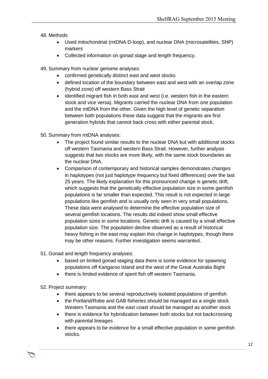- 48. Methods
	- Used mitochondrial (mtDNA D-loop), and nuclear DNA (microsatellites, SNP) markers
	- Collected information on gonad stage and length frequency.
- 49. Summary from nuclear genome analyses:
	- confirmed genetically distinct east and west stocks
	- defined location of the boundary between east and west with an overlap zone (hybrid zone) off western Bass Strait
	- identified migrant fish in both east and west (i.e. western fish in the eastern stock and vice versa). Migrants carried the nuclear DNA from one population and the mtDNA from the other. Given the high level of genetic separation between both populations these data suggest that the migrants are first generation hybrids that cannot back cross with either parental stock.
- 50. Summary from mtDNA analyses:
	- The project found similar results to the nuclear DNA but with additional stocks off western Tasmania and western Bass Strait. However, further analysis suggests that two stocks are more likely, with the same stock boundaries as the nuclear DNA.
	- Comparison of contemporary and historical samples demonstrates changes in haplotypes (not just haplotype frequency but fixed differences) over the last 25 years. The likely explanation for this pronounced change is genetic drift, which suggests that the genetically effective population size in some gemfish populations is far smaller than expected. This result is not expected in large populations like gemfish and is usually only seen in very small populations. These data were analysed to determine the effective population size of several gemfish locations. The results did indeed show small effective population sizes in some locations. Genetic drift is caused by a small effective population size. The population decline observed as a result of historical heavy fishing in the east may explain this change in haplotypes, though there may be other reasons. Further investigation seems warranted.
- 51. Gonad and length frequency analyses:
	- based on limited gonad staging data there is some evidence for spawning populations off Kangaroo Island and the west of the Great Australia Bight
	- there is limited evidence of spent fish off western Tasmania.

52. Project summary:

- there appears to be several reproductively isolated populations of gemfish
- the Portland/Robe and GAB fisheries should be managed as a single stock. Western Tasmania and the east coast should be managed as another stock
- there is evidence for hybridization between both stocks but not backcrossing with parental lineages
- there appears to be evidence for a small effective population in some gemfish stocks.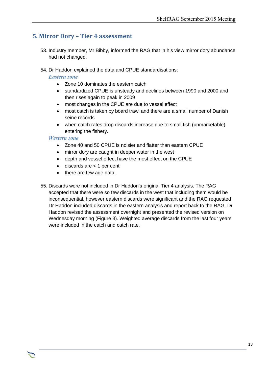### **5. Mirror Dory – Tier 4 assessment**

- 53. Industry member, Mr Bibby, informed the RAG that in his view mirror dory abundance had not changed.
- 54. Dr Haddon explained the data and CPUE standardisations:

#### *Eastern zone*

- Zone 10 dominates the eastern catch
- standardized CPUE is unsteady and declines between 1990 and 2000 and then rises again to peak in 2009
- most changes in the CPUE are due to vessel effect
- most catch is taken by board trawl and there are a small number of Danish seine records
- when catch rates drop discards increase due to small fish (unmarketable) entering the fishery.

#### *Western zone*

- Zone 40 and 50 CPUE is noisier and flatter than eastern CPUE
- mirror dory are caught in deeper water in the west
- depth and vessel effect have the most effect on the CPUE
- $\bullet$  discards are  $\lt$  1 per cent
- there are few age data.
- 55. Discards were not included in Dr Haddon's original Tier 4 analysis. The RAG accepted that there were so few discards in the west that including them would be inconsequential, however eastern discards were significant and the RAG requested Dr Haddon included discards in the eastern analysis and report back to the RAG. Dr Haddon revised the assessment overnight and presented the revised version on Wednesday morning (Figure 3). Weighted average discards from the last four years were included in the catch and catch rate.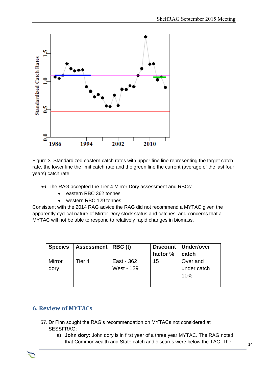

Figure 3. Standardized eastern catch rates with upper fine line representing the target catch rate, the lower line the limit catch rate and the green line the current (average of the last four years) catch rate.

56. The RAG accepted the Tier 4 Mirror Dory assessment and RBCs:

- eastern RBC 362 tonnes
- western RBC 129 tonnes.

Consistent with the 2014 RAG advice the RAG did not recommend a MYTAC given the apparently cyclical nature of Mirror Dory stock status and catches, and concerns that a MYTAC will not be able to respond to relatively rapid changes in biomass.

| <b>Species</b> | Assessment   RBC (t) |                          | factor % | Discount   Under/over<br>catch |
|----------------|----------------------|--------------------------|----------|--------------------------------|
| Mirror<br>dory | Tier 4               | East - 362<br>West - 129 | 15       | Over and<br>under catch<br>10% |

#### **6. Review of MYTACs**

- 57. Dr Finn sought the RAG's recommendation on MYTACs not considered at SESSFRAG:
	- a) **John dory:** John dory is in first year of a three year MYTAC. The RAG noted that Commonwealth and State catch and discards were below the TAC. The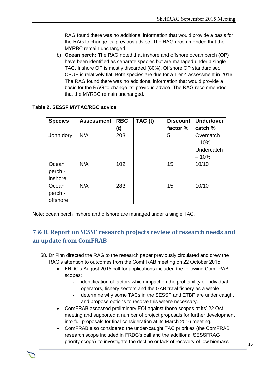RAG found there was no additional information that would provide a basis for the RAG to change its' previous advice. The RAG recommended that the MYRBC remain unchanged.

b) **Ocean perch:** The RAG noted that inshore and offshore ocean perch (OP) have been identified as separate species but are managed under a single TAC. Inshore OP is mostly discarded (80%). Offshore OP standardised CPUE is relatively flat. Both species are due for a Tier 4 assessment in 2016. The RAG found there was no additional information that would provide a basis for the RAG to change its' previous advice. The RAG recommended that the MYRBC remain unchanged.

| <b>Species</b> | <b>Assessment</b> | <b>RBC</b> | TAC (t) | <b>Discount</b> | <b>Under/over</b> |
|----------------|-------------------|------------|---------|-----------------|-------------------|
|                |                   | (t)        |         | factor %        | catch %           |
| John dory      | N/A               | 203        |         | 5               | Overcatch         |
|                |                   |            |         |                 | $-10%$            |
|                |                   |            |         |                 | Undercatch        |
|                |                   |            |         |                 | $-10%$            |
| Ocean          | N/A               | 102        |         | 15              | 10/10             |
| perch -        |                   |            |         |                 |                   |
| inshore        |                   |            |         |                 |                   |
| Ocean          | N/A               | 283        |         | 15              | 10/10             |
| perch -        |                   |            |         |                 |                   |
| offshore       |                   |            |         |                 |                   |

#### **Table 2. SESSF MYTAC/RBC advice**

Note: ocean perch inshore and offshore are managed under a single TAC.

### **7 & 8. Report on SESSF research projects review of research needs and an update from ComFRAB**

- 58. Dr Finn directed the RAG to the research paper previously circulated and drew the RAG's attention to outcomes from the ComFRAB meeting on 22 October 2015.
	- FRDC's August 2015 call for applications included the following ComFRAB scopes:
		- **-** identification of factors which impact on the profitability of individual operators, fishery sectors and the GAB trawl fishery as a whole
		- **-** determine why some TACs in the SESSF and ETBF are under caught and propose options to resolve this where necessary.
	- ComFRAB assessed preliminary EOI against these scopes at its' 22 Oct meeting and supported a number of project proposals for further development into full proposals for final consideration at its March 2016 meeting.
	- ComFRAB also considered the under-caught TAC priorities (the ComFRAB research scope included in FRDC's call and the additional SESSFRAG priority scope) 'to investigate the decline or lack of recovery of low biomass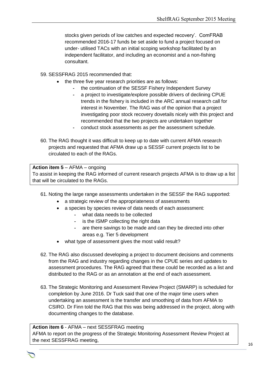stocks given periods of low catches and expected recovery'. ComFRAB recommended 2016-17 funds be set aside to fund a project focused on under- utilised TACs with an initial scoping workshop facilitated by an independent facilitator, and including an economist and a non-fishing consultant.

59. SESSFRAG 2015 recommended that:

- the three five year research priorities are as follows:
	- **-** the continuation of the SESSF Fishery Independent Survey
	- **-** a project to investigate/explore possible drivers of declining CPUE trends in the fishery is included in the ARC annual research call for interest in November. The RAG was of the opinion that a project investigating poor stock recovery dovetails nicely with this project and recommended that the two projects are undertaken together
	- **-** conduct stock assessments as per the assessment schedule.
- 60. The RAG thought it was difficult to keep up to date with current AFMA research projects and requested that AFMA draw up a SESSF current projects list to be circulated to each of the RAGs.

#### **Action item 5** – AFMA – ongoing To assist in keeping the RAG informed of current research projects AFMA is to draw up a list that will be circulated to the RAGs.

- 61. Noting the large range assessments undertaken in the SESSF the RAG supported:
	- a strategic review of the appropriateness of assessments
	- a species by species review of data needs of each assessment:
		- **-** what data needs to be collected
		- **-** is the ISMP collecting the right data
		- **-** are there savings to be made and can they be directed into other areas e.g. Tier 5 development
	- what type of assessment gives the most valid result?
- 62. The RAG also discussed developing a project to document decisions and comments from the RAG and industry regarding changes in the CPUE series and updates to assessment procedures. The RAG agreed that these could be recorded as a list and distributed to the RAG or as an annotation at the end of each assessment.
- 63. The Strategic Monitoring and Assessment Review Project (SMARP) is scheduled for completion by June 2016. Dr Tuck said that one of the major time users when undertaking an assessment is the transfer and smoothing of data from AFMA to CSIRO. Dr Finn told the RAG that this was being addressed in the project, along with documenting changes to the database.

### **Action item 6** - AFMA – next SESSFRAG meeting

AFMA to report on the progress of the Strategic Monitoring Assessment Review Project at the next SESSFRAG meeting,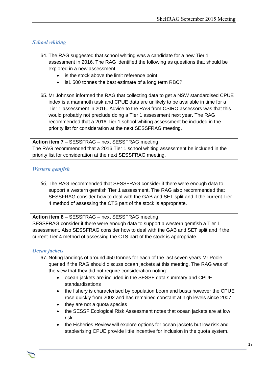#### *School whiting*

- 64. The RAG suggested that school whiting was a candidate for a new Tier 1 assessment in 2016. The RAG identified the following as questions that should be explored in a new assessment:
	- is the stock above the limit reference point
	- is1 500 tonnes the best estimate of a long term RBC?
- 65. Mr Johnson informed the RAG that collecting data to get a NSW standardised CPUE index is a mammoth task and CPUE data are unlikely to be available in time for a Tier 1 assessment in 2016. Advice to the RAG from CSIRO assessors was that this would probably not preclude doing a Tier 1 assessment next year. The RAG recommended that a 2016 Tier 1 school whiting assessment be included in the priority list for consideration at the next SESSFRAG meeting.

**Action item 7** – SESSFRAG – next SESSFRAG meeting The RAG recommended that a 2016 Tier 1 school whiting assessment be included in the priority list for consideration at the next SESSFRAG meeting.

#### *Western gemfish*

66. The RAG recommended that SESSFRAG consider if there were enough data to support a western gemfish Tier 1 assessment. The RAG also recommended that SESSFRAG consider how to deal with the GAB and SET split and if the current Tier 4 method of assessing the CTS part of the stock is appropriate.

**Action item 8** – SESSFRAG – next SESSFRAG meeting SESSFRAG consider if there were enough data to support a western gemfish a Tier 1 assessment. Also SESSFRAG consider how to deal with the GAB and SET split and if the current Tier 4 method of assessing the CTS part of the stock is appropriate.

#### *Ocean jackets*

- 67. Noting landings of around 450 tonnes for each of the last seven years Mr Poole queried if the RAG should discuss ocean jackets at this meeting. The RAG was of the view that they did not require consideration noting:
	- ocean jackets are included in the SESSF data summary and CPUE standardisations
	- the fishery is characterised by population boom and busts however the CPUE rose quickly from 2002 and has remained constant at high levels since 2007
	- they are not a quota species
	- the SESSF Ecological Risk Assessment notes that ocean jackets are at low risk
	- the Fisheries Review will explore options for ocean jackets but low risk and stable/rising CPUE provide little incentive for inclusion in the quota system.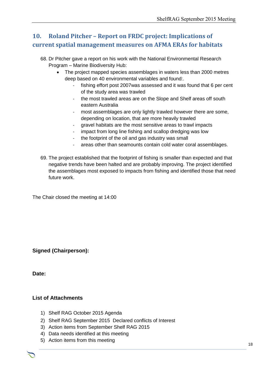# **10. Roland Pitcher – Report on FRDC project: Implications of current spatial management measures on AFMA ERAs for habitats**

- 68. Dr Pitcher gave a report on his work with the National Environmental Research Program – Marine Biodiversity Hub:
	- The project mapped species assemblages in waters less than 2000 metres deep based on 40 environmental variables and found:.
		- fishing effort post 2007 was assessed and it was found that 6 per cent of the study area was trawled
		- the most trawled areas are on the Slope and Shelf areas off south eastern Australia
		- most assemblages are only lightly trawled however there are some, depending on location, that are more heavily trawled
		- gravel habitats are the most sensitive areas to trawl impacts
		- impact from long line fishing and scallop dredging was low
		- the footprint of the oil and gas industry was small
		- areas other than seamounts contain cold water coral assemblages.
- 69. The project established that the footprint of fishing is smaller than expected and that negative trends have been halted and are probably improving. The project identified the assemblages most exposed to impacts from fishing and identified those that need future work.

The Chair closed the meeting at 14:00

**Signed (Chairperson):**

**Date:**

#### **List of Attachments**

- 1) Shelf RAG October 2015 Agenda
- 2) Shelf RAG September 2015 Declared conflicts of Interest

- 3) Action items from September Shelf RAG 2015
- 4) Data needs identified at this meeting
- 5) Action items from this meeting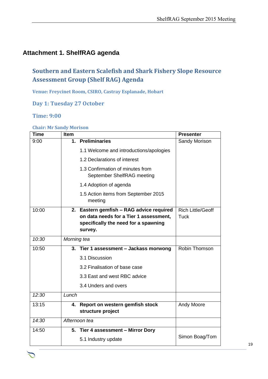### **Attachment 1. ShelfRAG agenda**

# **Southern and Eastern Scalefish and Shark Fishery Slope Resource Assessment Group (Shelf RAG) Agenda**

**Venue: Freycinet Room, CSIRO, Castray Esplanade, Hobart**

**Day 1: Tuesday 27 October**

#### **Time: 9:00**

| <b>Time</b> | Item                                                           | <b>Presenter</b>         |
|-------------|----------------------------------------------------------------|--------------------------|
| 9:00        | 1. Preliminaries                                               | Sandy Morison            |
|             | 1.1 Welcome and introductions/apologies                        |                          |
|             | 1.2 Declarations of interest                                   |                          |
|             | 1.3 Confirmation of minutes from<br>September ShelfRAG meeting |                          |
|             | 1.4 Adoption of agenda                                         |                          |
|             | 1.5 Action items from September 2015<br>meeting                |                          |
| 10:00       | 2. Eastern gemfish - RAG advice required                       | <b>Rich Little/Geoff</b> |
|             | on data needs for a Tier 1 assessment,                         | Tuck                     |
|             | specifically the need for a spawning                           |                          |
|             | survey.                                                        |                          |
| 10:30       | Morning tea                                                    |                          |
| 10:50       | 3. Tier 1 assessment - Jackass morwong                         | Robin Thomson            |
|             | 3.1 Discussion                                                 |                          |
|             | 3.2 Finalisation of base case                                  |                          |
|             | 3.3 East and west RBC advice                                   |                          |
|             | 3.4 Unders and overs                                           |                          |
| 12:30       | Lunch                                                          |                          |
| 13:15       | 4. Report on western gemfish stock                             | Andy Moore               |
|             | structure project                                              |                          |
| 14:30       | Afternoon tea                                                  |                          |
| 14:50       | 5. Tier 4 assessment - Mirror Dory                             |                          |
|             | 5.1 Industry update                                            | Simon Boag/Tom           |

Chair Rob Lewis c/- Executive Officer Tony Kingston, 155 Faulkland Rd, Gloucester NSW 2422

#### **Chair: Mr Sandy Morison**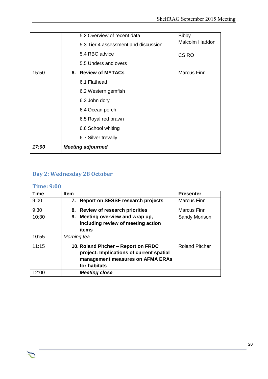|       | 5.2 Overview of recent data          | <b>Bibby</b>       |
|-------|--------------------------------------|--------------------|
|       | 5.3 Tier 4 assessment and discussion | Malcolm Haddon     |
|       | 5.4 RBC advice                       | <b>CSIRO</b>       |
|       | 5.5 Unders and overs                 |                    |
| 15:50 | 6. Review of MYTACs                  | <b>Marcus Finn</b> |
|       | 6.1 Flathead                         |                    |
|       | 6.2 Western gemfish                  |                    |
|       | 6.3 John dory                        |                    |
|       | 6.4 Ocean perch                      |                    |
|       | 6.5 Royal red prawn                  |                    |
|       | 6.6 School whiting                   |                    |
|       | 6.7 Silver trevally                  |                    |
| 17:00 | <b>Meeting adjourned</b>             |                    |

### **Day 2: Wednesday 28 October**

### **Time: 9:00**

つ

| Time  | <b>Item</b>                              | <b>Presenter</b>      |
|-------|------------------------------------------|-----------------------|
| 9:00  | 7. Report on SESSF research projects     | <b>Marcus Finn</b>    |
| 9:30  | 8. Review of research priorities         | <b>Marcus Finn</b>    |
| 10:30 | 9. Meeting overview and wrap up,         | Sandy Morison         |
|       | including review of meeting action       |                       |
|       | items                                    |                       |
| 10:55 | Morning tea                              |                       |
| 11:15 | 10. Roland Pitcher - Report on FRDC      | <b>Roland Pitcher</b> |
|       | project: Implications of current spatial |                       |
|       | management measures on AFMA ERAs         |                       |
|       | for habitats                             |                       |
| 12:00 | <b>Meeting close</b>                     |                       |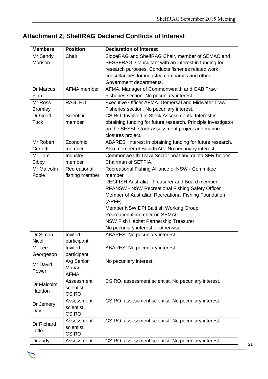# **Attachment 2**; **ShelfRAG Declared Conflicts of Interest**

| <b>Members</b>           | <b>Position</b> | <b>Declaration of interest</b>                                |  |  |
|--------------------------|-----------------|---------------------------------------------------------------|--|--|
| Mr Sandy                 | Chair           | SlopeRAG and ShelfRAG Chair, member of SEMAC and              |  |  |
| Morison                  |                 | SESSFRAG. Consultant with an interest in funding for          |  |  |
|                          |                 | research purposes. Conducts fisheries related work            |  |  |
|                          |                 | consultancies for industry, companies and other               |  |  |
|                          |                 | Government departments.                                       |  |  |
| Dr Marcus                | AFMA member     | AFMA. Manager of Commonwealth and GAB Trawl                   |  |  |
| Finn                     |                 | Fisheries section. No pecuniary interest.                     |  |  |
| Mr Ross                  | RAG, EO         | Executive Officer AFMA. Demersal and Midwater Trawl           |  |  |
| <b>Bromley</b>           |                 | Fisheries section. No pecuniary interest.                     |  |  |
| Dr Geoff                 | Scientific      | CSIRO. Involved in Stock Assessments. Interest in             |  |  |
| <b>Tuck</b>              | member          | obtaining funding for future research. Principle investigator |  |  |
|                          |                 | on the SESSF stock assessment project and marine              |  |  |
|                          |                 | closures project.                                             |  |  |
| Mr Robert                | Economic        | ABARES. Interest in obtaining funding for future research.    |  |  |
| Curtotti                 | member          | Also member of SquidRAG. No pecuniary interest.               |  |  |
| Mr Tom                   | Industry        | Commonwealth Trawl Sector boat and quota SFR holder.          |  |  |
| <b>Bibby</b>             | member          | Chairman of SETFIA.                                           |  |  |
| Mr Malcolm               | Recreational    | Recreational Fishing Alliance of NSW - Committee              |  |  |
| Poole                    | fishing member  | member                                                        |  |  |
|                          |                 | <b>RECFISH Australia - Treasurer and Board member</b>         |  |  |
|                          |                 | <b>RFANSW - NSW Recreational Fishing Safety Officer</b>       |  |  |
|                          |                 | Member of Australian Recreational Fishing Foundation          |  |  |
|                          |                 | (ARFF)                                                        |  |  |
|                          |                 | Member NSW DPI Baitfish Working Group.                        |  |  |
|                          |                 | Recreational member on SEMAC                                  |  |  |
|                          |                 | <b>NSW Fish Habitat Partnership Treasurer</b>                 |  |  |
|                          |                 | No pecuniary interest or otherwise.                           |  |  |
| Dr Simon                 | Invited         | ABARES. No pecuniary interest.                                |  |  |
| <b>Nicol</b>             | participant     |                                                               |  |  |
| Mr Lee                   | Invited         | ABARES. No pecuniary interest.                                |  |  |
| Georgeson                | participant     |                                                               |  |  |
| Mr David                 | A/g Senior      | No pecuniary interest.                                        |  |  |
| Power                    | Manager,        |                                                               |  |  |
|                          | <b>AFMA</b>     |                                                               |  |  |
| Dr Malcolm               | Assessment      | CSIRO, assessment scientist. No pecuniary interest.           |  |  |
| Haddon                   | scientist,      |                                                               |  |  |
|                          | <b>CSIRO</b>    |                                                               |  |  |
| Dr Jemery                | Assessment      | CSIRO, assessment scientist. No pecuniary interest.           |  |  |
| Day                      | scientist,      |                                                               |  |  |
|                          | <b>CSIRO</b>    |                                                               |  |  |
| Assessment<br>Dr Richard |                 | CSIRO, assessment scientist. No pecuniary interest.           |  |  |
| Little                   | scientist,      |                                                               |  |  |
|                          | <b>CSIRO</b>    |                                                               |  |  |
| Dr Judy                  | Assessment      | CSIRO, assessment scientist. No pecuniary interest.           |  |  |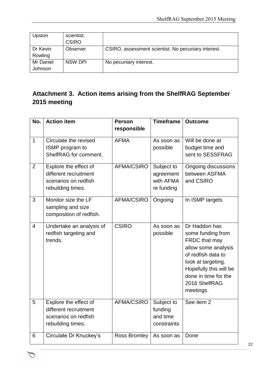| Upston    | scientist,<br><b>CSIRO</b> |                                                     |
|-----------|----------------------------|-----------------------------------------------------|
| Dr Kevin  | Observer                   | CSIRO, assessment scientist. No pecuniary interest. |
| Rowling   |                            |                                                     |
| Mr Daniel | <b>NSW DPI</b>             | No pecuniary interest.                              |
| Johnson   |                            |                                                     |

# **Attachment 3. Action items arising from the ShelfRAG September 2015 meeting**

| No.            | <b>Action item</b>                                                                          | <b>Person</b>     | <b>Timeframe</b>                                   | <b>Outcome</b>                                                                                                                                                                                         |
|----------------|---------------------------------------------------------------------------------------------|-------------------|----------------------------------------------------|--------------------------------------------------------------------------------------------------------------------------------------------------------------------------------------------------------|
|                |                                                                                             | responsible       |                                                    |                                                                                                                                                                                                        |
| $\mathbf{1}$   | Circulate the revised<br>ISMP program to<br>ShelfRAG for comment.                           | <b>AFMA</b>       | As soon as<br>possible                             | Will be done at<br>budget time and<br>sent to SESSFRAG                                                                                                                                                 |
| $\overline{2}$ | Explore the effect of<br>different recruitment<br>scenarios on redfish<br>rebuilding times. | <b>AFMA/CSIRO</b> | Subject to<br>agreement<br>with AFMA<br>re funding | Ongoing discussions<br>between ASFMA<br>and CSIRO                                                                                                                                                      |
| 3              | Monitor size the LF<br>sampling and size<br>composition of redfish.                         | <b>AFMA/CSIRO</b> | Ongoing                                            | In ISMP targets                                                                                                                                                                                        |
| $\overline{4}$ | Undertake an analysis of<br>redfish targeting and<br>trends.                                | <b>CSIRO</b>      | As soon as<br>possible                             | Dr Haddon has<br>some funding from<br>FRDC that may<br>allow some analysis<br>of redfish data to<br>look at targeting.<br>Hopefully this will be<br>done in time for the<br>2016 ShelfRAG<br>meetings. |
| 5              | Explore the effect of<br>different recruitment<br>scenarios on redfish<br>rebuilding times. | <b>AFMA/CSIRO</b> | Subject to<br>funding<br>and time<br>constraints   | See item 2                                                                                                                                                                                             |
| 6              | Circulate Dr Knuckey's                                                                      | Ross Bromley      | As soon as                                         | Done                                                                                                                                                                                                   |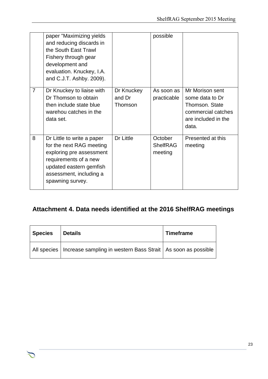|                | paper "Maximizing yields<br>and reducing discards in<br>the South East Trawl<br>Fishery through gear<br>development and<br>evaluation. Knuckey, I.A.<br>and C.J.T. Ashby. 2009).      |                                 | possible                              |                                                                                                            |
|----------------|---------------------------------------------------------------------------------------------------------------------------------------------------------------------------------------|---------------------------------|---------------------------------------|------------------------------------------------------------------------------------------------------------|
| $\overline{7}$ | Dr Knuckey to liaise with<br>Dr Thomson to obtain<br>then include state blue<br>warehou catches in the<br>data set.                                                                   | Dr Knuckey<br>and Dr<br>Thomson | As soon as<br>practicable             | Mr Morison sent<br>some data to Dr<br>Thomson. State<br>commercial catches<br>are included in the<br>data. |
| 8              | Dr Little to write a paper<br>for the next RAG meeting<br>exploring pre assessment<br>requirements of a new<br>updated eastern gemfish<br>assessment, including a<br>spawning survey. | Dr Little                       | October<br><b>ShelfRAG</b><br>meeting | Presented at this<br>meeting                                                                               |

# **Attachment 4. Data needs identified at the 2016 ShelfRAG meetings**

| <b>Species</b> | <b>Details</b>                                                               | Timeframe |
|----------------|------------------------------------------------------------------------------|-----------|
|                | All species   Increase sampling in western Bass Strait   As soon as possible |           |